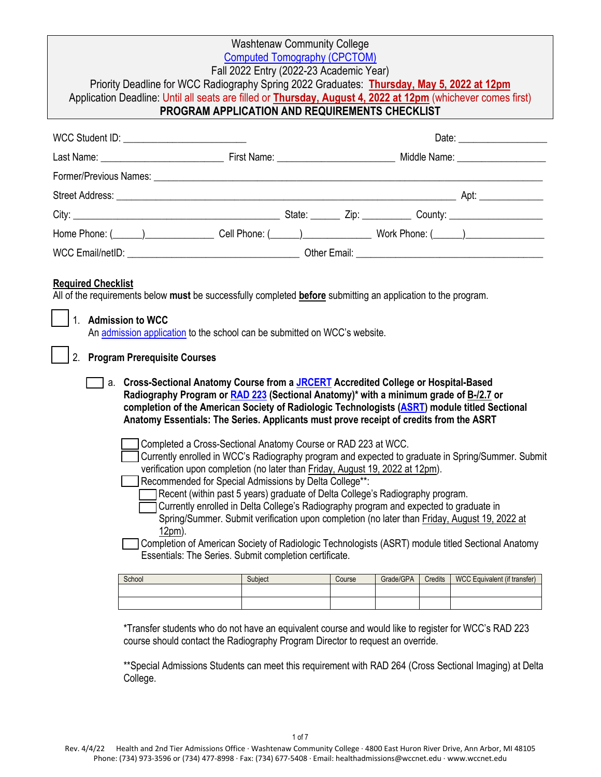| <b>Washtenaw Community College</b>                                                                                                                                                                                                                                                                                                                                                                                                                                                                                                                                                                                                                                                                                                                                                                                                         |                                                                                                                                                                                                                                                                        |        |           |         |                              |  |
|--------------------------------------------------------------------------------------------------------------------------------------------------------------------------------------------------------------------------------------------------------------------------------------------------------------------------------------------------------------------------------------------------------------------------------------------------------------------------------------------------------------------------------------------------------------------------------------------------------------------------------------------------------------------------------------------------------------------------------------------------------------------------------------------------------------------------------------------|------------------------------------------------------------------------------------------------------------------------------------------------------------------------------------------------------------------------------------------------------------------------|--------|-----------|---------|------------------------------|--|
| <b>Computed Tomography (CPCTOM)</b><br>Fall 2022 Entry (2022-23 Academic Year)                                                                                                                                                                                                                                                                                                                                                                                                                                                                                                                                                                                                                                                                                                                                                             |                                                                                                                                                                                                                                                                        |        |           |         |                              |  |
| Priority Deadline for WCC Radiography Spring 2022 Graduates: Thursday, May 5, 2022 at 12pm                                                                                                                                                                                                                                                                                                                                                                                                                                                                                                                                                                                                                                                                                                                                                 |                                                                                                                                                                                                                                                                        |        |           |         |                              |  |
| Application Deadline: Until all seats are filled or Thursday, August 4, 2022 at 12pm (whichever comes first)<br>PROGRAM APPLICATION AND REQUIREMENTS CHECKLIST                                                                                                                                                                                                                                                                                                                                                                                                                                                                                                                                                                                                                                                                             |                                                                                                                                                                                                                                                                        |        |           |         |                              |  |
|                                                                                                                                                                                                                                                                                                                                                                                                                                                                                                                                                                                                                                                                                                                                                                                                                                            |                                                                                                                                                                                                                                                                        |        |           |         |                              |  |
| WCC Student ID: _______________________________                                                                                                                                                                                                                                                                                                                                                                                                                                                                                                                                                                                                                                                                                                                                                                                            |                                                                                                                                                                                                                                                                        |        |           |         |                              |  |
|                                                                                                                                                                                                                                                                                                                                                                                                                                                                                                                                                                                                                                                                                                                                                                                                                                            |                                                                                                                                                                                                                                                                        |        |           |         |                              |  |
|                                                                                                                                                                                                                                                                                                                                                                                                                                                                                                                                                                                                                                                                                                                                                                                                                                            |                                                                                                                                                                                                                                                                        |        |           |         |                              |  |
|                                                                                                                                                                                                                                                                                                                                                                                                                                                                                                                                                                                                                                                                                                                                                                                                                                            |                                                                                                                                                                                                                                                                        |        |           |         |                              |  |
|                                                                                                                                                                                                                                                                                                                                                                                                                                                                                                                                                                                                                                                                                                                                                                                                                                            |                                                                                                                                                                                                                                                                        |        |           |         |                              |  |
| Home Phone: (Changelen Cell Phone: (Changelen Cell Phone: (Changelen Cell Phone: (Changelen Cell Phone: (Changelen Cell Phone: (Changelen Cell Phone: (Changelen Cell Phone: (Changelen Cell Phone: (Changelen Cell Phone: Cha                                                                                                                                                                                                                                                                                                                                                                                                                                                                                                                                                                                                             |                                                                                                                                                                                                                                                                        |        |           |         |                              |  |
|                                                                                                                                                                                                                                                                                                                                                                                                                                                                                                                                                                                                                                                                                                                                                                                                                                            |                                                                                                                                                                                                                                                                        |        |           |         |                              |  |
| <b>Required Checklist</b><br>All of the requirements below must be successfully completed before submitting an application to the program.<br>1. Admission to WCC<br>An admission application to the school can be submitted on WCC's website.<br>2. Program Prerequisite Courses<br>a. Cross-Sectional Anatomy Course from a JRCERT Accredited College or Hospital-Based<br>Radiography Program or RAD 223 (Sectional Anatomy)* with a minimum grade of <b>B-/2.7</b> or<br>completion of the American Society of Radiologic Technologists (ASRT) module titled Sectional<br>Anatomy Essentials: The Series. Applicants must prove receipt of credits from the ASRT<br>Completed a Cross-Sectional Anatomy Course or RAD 223 at WCC.<br>Currently enrolled in WCC's Radiography program and expected to graduate in Spring/Summer. Submit |                                                                                                                                                                                                                                                                        |        |           |         |                              |  |
| verification upon completion (no later than Friday, August 19, 2022 at 12pm).<br>Recommended for Special Admissions by Delta College**:<br>12pm).<br>Completion of American Society of Radiologic Technologists (ASRT) module titled Sectional Anatomy<br>Essentials: The Series. Submit completion certificate.                                                                                                                                                                                                                                                                                                                                                                                                                                                                                                                           | Recent (within past 5 years) graduate of Delta College's Radiography program.<br>Currently enrolled in Delta College's Radiography program and expected to graduate in<br>Spring/Summer. Submit verification upon completion (no later than Friday, August 19, 2022 at |        |           |         |                              |  |
| School                                                                                                                                                                                                                                                                                                                                                                                                                                                                                                                                                                                                                                                                                                                                                                                                                                     | Subject                                                                                                                                                                                                                                                                | Course | Grade/GPA | Credits | WCC Equivalent (if transfer) |  |
|                                                                                                                                                                                                                                                                                                                                                                                                                                                                                                                                                                                                                                                                                                                                                                                                                                            |                                                                                                                                                                                                                                                                        |        |           |         |                              |  |
|                                                                                                                                                                                                                                                                                                                                                                                                                                                                                                                                                                                                                                                                                                                                                                                                                                            |                                                                                                                                                                                                                                                                        |        |           |         |                              |  |

\*Transfer students who do not have an equivalent course and would like to register for WCC's RAD 223 course should contact the Radiography Program Director to request an override.

\*\*Special Admissions Students can meet this requirement with RAD 264 (Cross Sectional Imaging) at Delta College.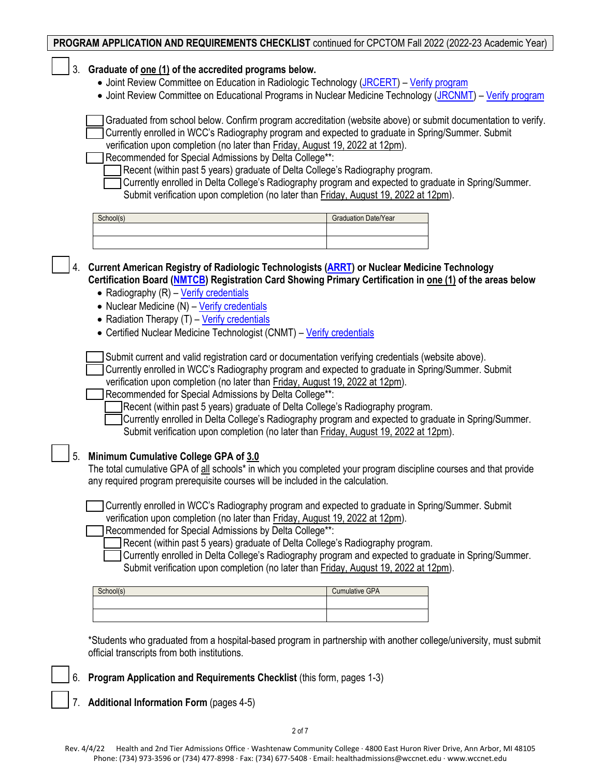|    | PROGRAM APPLICATION AND REQUIREMENTS CHECKLIST continued for CPCTOM Fall 2022 (2022-23 Academic Year)                                                                                                                                                                                                                                                                                                                                                                                                                                                                                                                                                                                                                                                                                                                                                                                                                                                                                                                                                             |
|----|-------------------------------------------------------------------------------------------------------------------------------------------------------------------------------------------------------------------------------------------------------------------------------------------------------------------------------------------------------------------------------------------------------------------------------------------------------------------------------------------------------------------------------------------------------------------------------------------------------------------------------------------------------------------------------------------------------------------------------------------------------------------------------------------------------------------------------------------------------------------------------------------------------------------------------------------------------------------------------------------------------------------------------------------------------------------|
| 3. | Graduate of one (1) of the accredited programs below.<br>• Joint Review Committee on Education in Radiologic Technology (JRCERT) - Verify program                                                                                                                                                                                                                                                                                                                                                                                                                                                                                                                                                                                                                                                                                                                                                                                                                                                                                                                 |
|    | • Joint Review Committee on Educational Programs in Nuclear Medicine Technology (JRCNMT) - Verify program                                                                                                                                                                                                                                                                                                                                                                                                                                                                                                                                                                                                                                                                                                                                                                                                                                                                                                                                                         |
|    | Graduated from school below. Confirm program accreditation (website above) or submit documentation to verify.<br>Currently enrolled in WCC's Radiography program and expected to graduate in Spring/Summer. Submit<br>verification upon completion (no later than Friday, August 19, 2022 at 12pm).<br>Recommended for Special Admissions by Delta College**:<br>Recent (within past 5 years) graduate of Delta College's Radiography program.                                                                                                                                                                                                                                                                                                                                                                                                                                                                                                                                                                                                                    |
|    | Currently enrolled in Delta College's Radiography program and expected to graduate in Spring/Summer.<br>Submit verification upon completion (no later than Friday, August 19, 2022 at 12pm).                                                                                                                                                                                                                                                                                                                                                                                                                                                                                                                                                                                                                                                                                                                                                                                                                                                                      |
|    | School(s)<br>Graduation Date/Year                                                                                                                                                                                                                                                                                                                                                                                                                                                                                                                                                                                                                                                                                                                                                                                                                                                                                                                                                                                                                                 |
|    | Current American Registry of Radiologic Technologists (ARRT) or Nuclear Medicine Technology<br>Certification Board (NMTCB) Registration Card Showing Primary Certification in one (1) of the areas below<br>• Radiography (R) - Verify credentials<br>• Nuclear Medicine (N) - Verify credentials<br>• Radiation Therapy (T) - Verify credentials<br>• Certified Nuclear Medicine Technologist (CNMT) - Verify credentials<br>Submit current and valid registration card or documentation verifying credentials (website above).<br>Currently enrolled in WCC's Radiography program and expected to graduate in Spring/Summer. Submit<br>verification upon completion (no later than Friday, August 19, 2022 at 12pm).<br>Recommended for Special Admissions by Delta College**:<br>Recent (within past 5 years) graduate of Delta College's Radiography program.<br>Currently enrolled in Delta College's Radiography program and expected to graduate in Spring/Summer.<br>Submit verification upon completion (no later than Friday, August 19, 2022 at 12pm). |
| 5. | Minimum Cumulative College GPA of 3.0<br>The total cumulative GPA of all schools* in which you completed your program discipline courses and that provide<br>any required program prerequisite courses will be included in the calculation.                                                                                                                                                                                                                                                                                                                                                                                                                                                                                                                                                                                                                                                                                                                                                                                                                       |
|    | Currently enrolled in WCC's Radiography program and expected to graduate in Spring/Summer. Submit<br>verification upon completion (no later than Friday, August 19, 2022 at 12pm).<br>Recommended for Special Admissions by Delta College**:<br>Recent (within past 5 years) graduate of Delta College's Radiography program.<br>Currently enrolled in Delta College's Radiography program and expected to graduate in Spring/Summer.<br>Submit verification upon completion (no later than Friday, August 19, 2022 at 12pm).                                                                                                                                                                                                                                                                                                                                                                                                                                                                                                                                     |
|    | <b>Cumulative GPA</b><br>School(s)                                                                                                                                                                                                                                                                                                                                                                                                                                                                                                                                                                                                                                                                                                                                                                                                                                                                                                                                                                                                                                |
|    | *Students who graduated from a hospital-based program in partnership with another college/university, must submit<br>official transcripts from both institutions.                                                                                                                                                                                                                                                                                                                                                                                                                                                                                                                                                                                                                                                                                                                                                                                                                                                                                                 |

\_\_\_ 6. **Program Application and Requirements Checklist** (this form, pages 1-3)

\_\_\_ 7. **Additional Information Form** (pages 4-5)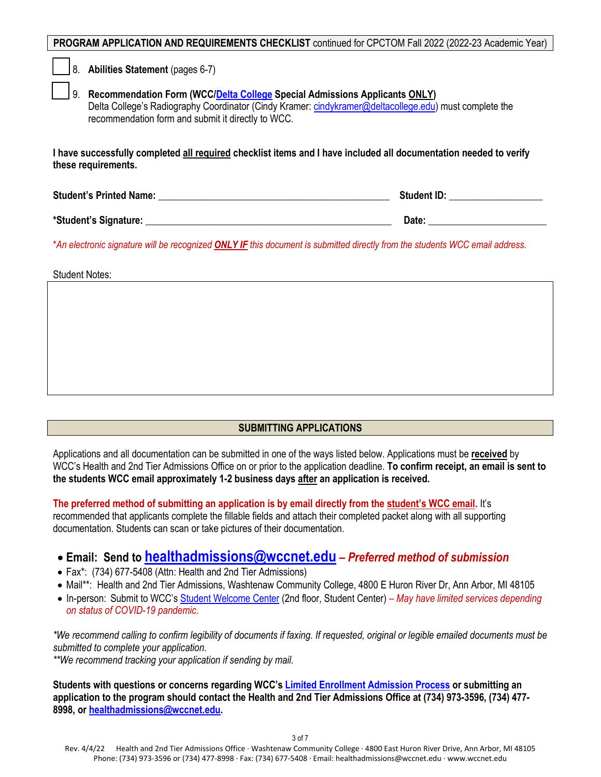| PROGRAM APPLICATION AND REQUIREMENTS CHECKLIST continued for CPCTOM Fall 2022 (2022-23 Academic Year) |  |  |
|-------------------------------------------------------------------------------------------------------|--|--|
|-------------------------------------------------------------------------------------------------------|--|--|

\_\_\_ 8. **Abilities Statement** (pages 6-7)

\_\_\_ 9. **Recommendation Form (WCC[/Delta College](https://www.delta.edu/) Special Admissions Applicants ONLY)** Delta College's Radiography Coordinator (Cindy Kramer[: cindykramer@deltacollege.edu\)](mailto:cindykramer@deltacollege.edu) must complete the recommendation form and submit it directly to WCC.

**I have successfully completed all required checklist items and I have included all documentation needed to verify these requirements.** 

| <b>Student's Printed Name:</b><br><b>Student ID:</b> |
|------------------------------------------------------|
|------------------------------------------------------|

**\*Student's Signature:** \_\_\_\_\_\_\_\_\_\_\_\_\_\_\_\_\_\_\_\_\_\_\_\_\_\_\_\_\_\_\_\_\_\_\_\_\_\_\_\_\_\_\_\_\_\_\_\_\_\_ **Date:** \_\_\_\_\_\_\_\_\_\_\_\_\_\_\_\_\_\_\_\_\_\_\_\_

\**An electronic signature will be recognized ONLY IF this document is submitted directly from the students WCC email address.*

Student Notes:

## **SUBMITTING APPLICATIONS**

Applications and all documentation can be submitted in one of the ways listed below. Applications must be **received** by WCC's Health and 2nd Tier Admissions Office on or prior to the application deadline. **To confirm receipt, an email is sent to the students WCC email approximately 1-2 business days after an application is received.** 

**The preferred method of submitting an application is by email directly from the student's WCC email.** It's recommended that applicants complete the fillable fields and attach their completed packet along with all supporting documentation. Students can scan or take pictures of their documentation.

# • **Email: Send to [healthadmissions@wccnet.edu](mailto:healthadmissions@wccnet.edu)** *– Preferred method of submission*

- Fax\*: (734) 677-5408 (Attn: Health and 2nd Tier Admissions)
- Mail\*\*: Health and 2nd Tier Admissions, Washtenaw Community College, 4800 E Huron River Dr, Ann Arbor, MI 48105
- In-person: Submit to WCC'[s Student Welcome Center](https://www.wccnet.edu/start-now/student-welcome-center.php) (2nd floor, Student Center)  *May have limited services depending on status of COVID-19 pandemic.*

*\*We recommend calling to confirm legibility of documents if faxing. If requested, original or legible emailed documents must be submitted to complete your application.*

*\*\*We recommend tracking your application if sending by mail.*

**Students with questions or concerns regarding WCC'[s Limited Enrollment Admission Process](https://www.wccnet.edu/start-now/degree/2nd-tier/#:%7E:text=2023%20academic%20year-,Limited%20Enrollment%20Admission%20Process,-The%20limited%20enrollment) or submitting an application to the program should contact the Health and 2nd Tier Admissions Office at (734) 973-3596, (734) 477- 8998, o[r healthadmissions@wccnet.edu.](mailto:healthadmissions@wccnet.edu)**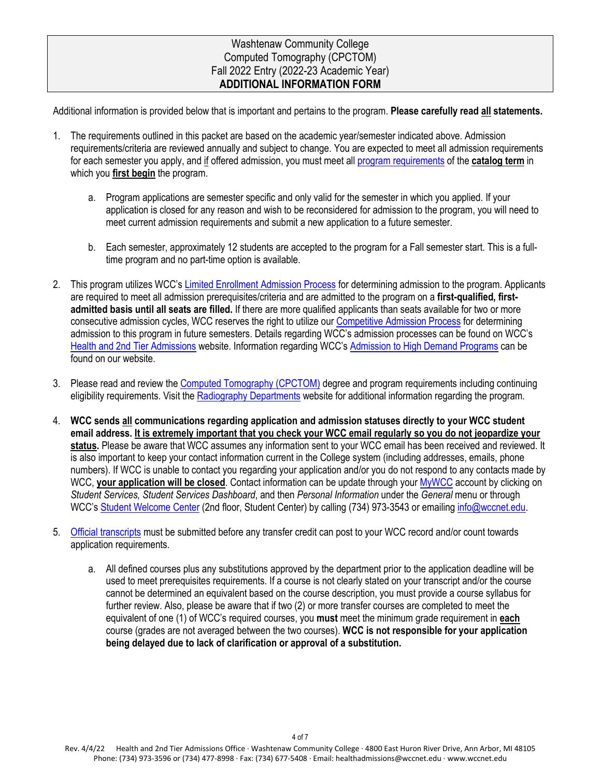## Washtenaw Community College Computed Tomography (CPCTOM) Fall 2022 Entry (2022-23 Academic Year) **ADDITIONAL INFORMATION FORM**

Additional information is provided below that is important and pertains to the program. **Please carefully read all statements.**

- 1. The requirements outlined in this packet are based on the academic year/semester indicated above. Admission requirements/criteria are reviewed annually and subject to change. You are expected to meet all admission requirements for each semester you apply, and if offered admission, you must meet all [program requirements](https://catalog.wccnet.edu/current/programs/cpctom.php) of the **catalog term** in which you **first begin** the program.
	- a. Program applications are semester specific and only valid for the semester in which you applied. If your application is closed for any reason and wish to be reconsidered for admission to the program, you will need to meet current admission requirements and submit a new application to a future semester.
	- b. Each semester, approximately 12 students are accepted to the program for a Fall semester start. This is a fulltime program and no part-time option is available.
- 2. This program utilizes WCC's [Limited Enrollment Admission Process](https://www.wccnet.edu/start-now/degree/2nd-tier/#:%7E:text=2023%20academic%20year-,Limited%20Enrollment%20Admission%20Process,-The%20limited%20enrollment) for determining admission to the program. Applicants are required to meet all admission prerequisites/criteria and are admitted to the program on a **first-qualified, firstadmitted basis until all seats are filled.** If there are more qualified applicants than seats available for two or more consecutive admission cycles, WCC reserves the right to utilize ou[r Competitive Admission Process](https://www.wccnet.edu/webfiles/health/web/pointscales/2022-2023-point-scales.pdf) for determining admission to this program in future semesters. Details regarding WCC's admission processes can be found on WCC's [Health and 2nd Tier Admissions](https://www.wccnet.edu/start-now/degree/2nd-tier/) website. Information regarding WCC's [Admission to High Demand Programs](https://www.wccnet.edu/about/policies/2005.php#:%7E:text=of%20these%20programs.-,Admission%20to%20High%20Demand%20Programs,-The%20Administration%20will) can be found on our website.
- 3. Please read and review the [Computed Tomography \(CPCTOM\)](https://catalog.wccnet.edu/current/programs/cpctom.php) degree and program requirements including continuing eligibility requirements. Visit the [Radiography Departments](https://www.wccnet.edu/learn/departments/alhd/radiography/) website for additional information regarding the program.
- 4. **WCC sends all communications regarding application and admission statuses directly to your WCC student email address. It is extremely important that you check your WCC email regularly so you do not jeopardize your status.** Please be aware that WCC assumes any information sent to your WCC email has been received and reviewed. It is also important to keep your contact information current in the College system (including addresses, emails, phone numbers). If WCC is unable to contact you regarding your application and/or you do not respond to any contacts made by WCC, **your application will be closed**. Contact information can be update through your [MyWCC](https://login.wccnet.edu/cas/login?service=https%3A%2F%2Fbanner.wccnet.edu%2Fssomanager%2Fc%2FSSB) account by clicking on *Student Services, Student Services Dashboard*, and then *Personal Information* under the *General* menu or through WCC'[s Student Welcome Center](https://www.wccnet.edu/start-now/student-welcome-center.php) (2nd floor, Student Center) by calling (734) 973-3543 or emailing [info@wccnet.edu.](mailto:info@wccnet.edu)
- 5. [Official transcripts](https://www.wccnet.edu/start-now/degree/transfer-to-wcc.php) must be submitted before any transfer credit can post to your WCC record and/or count towards application requirements.
	- a. All defined courses plus any substitutions approved by the department prior to the application deadline will be used to meet prerequisites requirements. If a course is not clearly stated on your transcript and/or the course cannot be determined an equivalent based on the course description, you must provide a course syllabus for further review. Also, please be aware that if two (2) or more transfer courses are completed to meet the equivalent of one (1) of WCC's required courses, you **must** meet the minimum grade requirement in **each** course (grades are not averaged between the two courses). **WCC is not responsible for your application being delayed due to lack of clarification or approval of a substitution.**

Rev. 4/4/22 Health and 2nd Tier Admissions Office · Washtenaw Community College · 4800 East Huron River Drive, Ann Arbor, MI 48105 Phone: (734) 973-3596 or (734) 477-8998 · Fax: (734) 677-5408 · Email: healthadmissions@wccnet.edu · www.wccnet.edu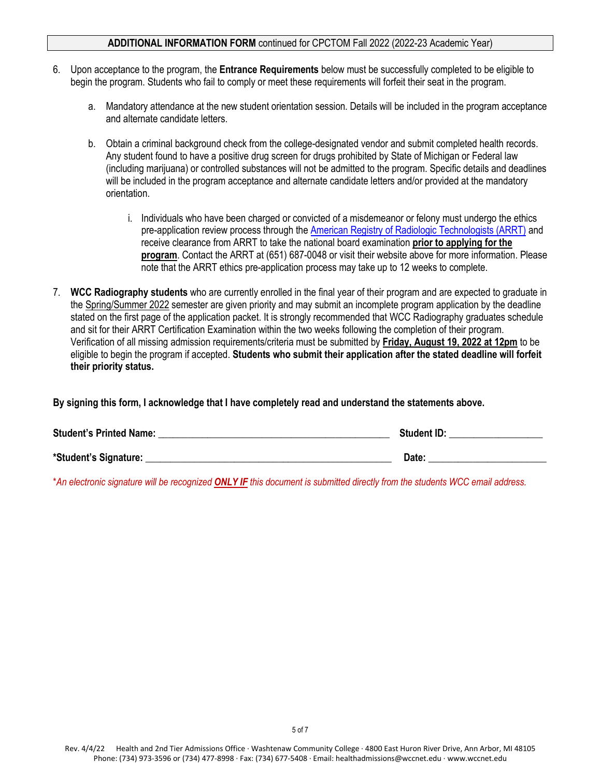#### **ADDITIONAL INFORMATION FORM** continued for CPCTOM Fall 2022 (2022-23 Academic Year)

- 6. Upon acceptance to the program, the **Entrance Requirements** below must be successfully completed to be eligible to begin the program. Students who fail to comply or meet these requirements will forfeit their seat in the program.
	- a. Mandatory attendance at the new student orientation session. Details will be included in the program acceptance and alternate candidate letters.
	- b. Obtain a criminal background check from the college-designated vendor and submit completed health records. Any student found to have a positive drug screen for drugs prohibited by State of Michigan or Federal law (including marijuana) or controlled substances will not be admitted to the program. Specific details and deadlines will be included in the program acceptance and alternate candidate letters and/or provided at the mandatory orientation.
		- i. Individuals who have been charged or convicted of a misdemeanor or felony must undergo the ethics pre-application review process through th[e American Registry of Radiologic Technologists \(ARRT\)](https://www.arrt.org/pages/verify-credentials) and receive clearance from ARRT to take the national board examination **prior to applying for the program**. Contact the ARRT at (651) 687-0048 or visit their website above for more information. Please note that the ARRT ethics pre-application process may take up to 12 weeks to complete.
- 7. **WCC Radiography students** who are currently enrolled in the final year of their program and are expected to graduate in the Spring/Summer 2022 semester are given priority and may submit an incomplete program application by the deadline stated on the first page of the application packet. It is strongly recommended that WCC Radiography graduates schedule and sit for their ARRT Certification Examination within the two weeks following the completion of their program. Verification of all missing admission requirements/criteria must be submitted by **Friday, August 19, 2022 at 12pm** to be eligible to begin the program if accepted. **Students who submit their application after the stated deadline will forfeit their priority status.**

**By signing this form, I acknowledge that I have completely read and understand the statements above.** 

| <b>Student's Printed Name:</b> | <b>Student ID:</b> |
|--------------------------------|--------------------|
| *Student's Signature:          | Date:              |

\**An electronic signature will be recognized ONLY IF this document is submitted directly from the students WCC email address.*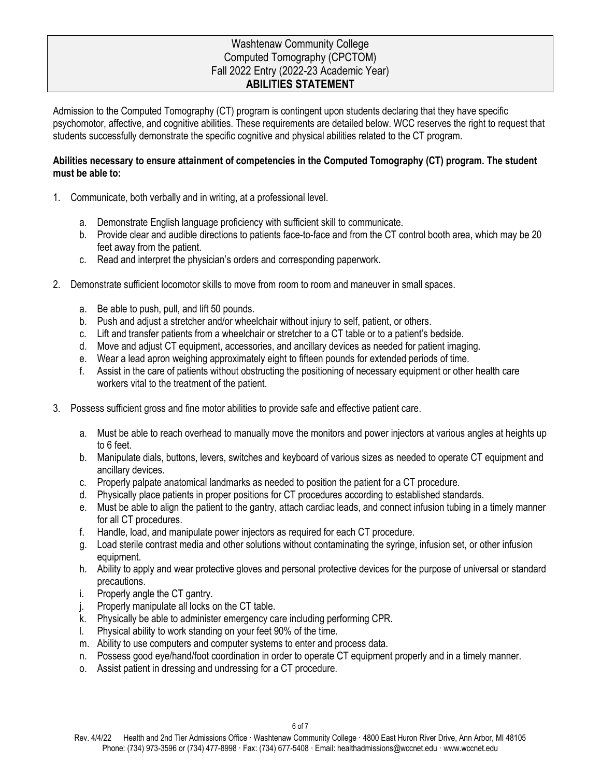## Washtenaw Community College Computed Tomography (CPCTOM) Fall 2022 Entry (2022-23 Academic Year) **ABILITIES STATEMENT**

Admission to the Computed Tomography (CT) program is contingent upon students declaring that they have specific psychomotor, affective, and cognitive abilities. These requirements are detailed below. WCC reserves the right to request that students successfully demonstrate the specific cognitive and physical abilities related to the CT program.

## **Abilities necessary to ensure attainment of competencies in the Computed Tomography (CT) program. The student must be able to:**

- 1. Communicate, both verbally and in writing, at a professional level.
	- a. Demonstrate English language proficiency with sufficient skill to communicate.
	- b. Provide clear and audible directions to patients face-to-face and from the CT control booth area, which may be 20 feet away from the patient.
	- c. Read and interpret the physician's orders and corresponding paperwork.
- 2. Demonstrate sufficient locomotor skills to move from room to room and maneuver in small spaces.
	- a. Be able to push, pull, and lift 50 pounds.
	- b. Push and adjust a stretcher and/or wheelchair without injury to self, patient, or others.
	- c. Lift and transfer patients from a wheelchair or stretcher to a CT table or to a patient's bedside.
	- d. Move and adjust CT equipment, accessories, and ancillary devices as needed for patient imaging.
	- e. Wear a lead apron weighing approximately eight to fifteen pounds for extended periods of time.
	- f. Assist in the care of patients without obstructing the positioning of necessary equipment or other health care workers vital to the treatment of the patient.
- 3. Possess sufficient gross and fine motor abilities to provide safe and effective patient care.
	- a. Must be able to reach overhead to manually move the monitors and power injectors at various angles at heights up to 6 feet.
	- b. Manipulate dials, buttons, levers, switches and keyboard of various sizes as needed to operate CT equipment and ancillary devices.
	- c. Properly palpate anatomical landmarks as needed to position the patient for a CT procedure.
	- d. Physically place patients in proper positions for CT procedures according to established standards.
	- e. Must be able to align the patient to the gantry, attach cardiac leads, and connect infusion tubing in a timely manner for all CT procedures.
	- f. Handle, load, and manipulate power injectors as required for each CT procedure.
	- g. Load sterile contrast media and other solutions without contaminating the syringe, infusion set, or other infusion equipment.
	- h. Ability to apply and wear protective gloves and personal protective devices for the purpose of universal or standard precautions.
	- i. Properly angle the CT gantry.
	- j. Properly manipulate all locks on the CT table.
	- k. Physically be able to administer emergency care including performing CPR.
	- l. Physical ability to work standing on your feet 90% of the time.
	- m. Ability to use computers and computer systems to enter and process data.
	- n. Possess good eye/hand/foot coordination in order to operate CT equipment properly and in a timely manner.
	- o. Assist patient in dressing and undressing for a CT procedure.